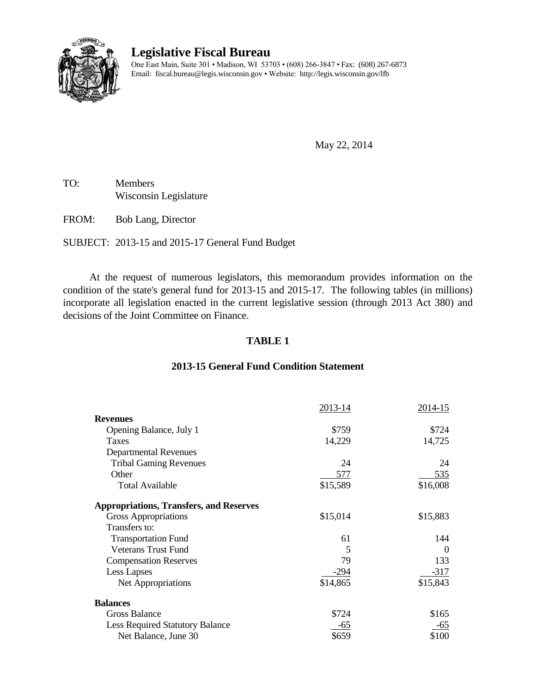

# **Legislative Fiscal Bureau**

One East Main, Suite 301 • Madison, WI 53703 • (608) 266-3847 • Fax: (608) 267-6873 Email: fiscal.bureau@legis.wisconsin.gov • Website:<http://legis.wisconsin.gov/lfb>

May 22, 2014

TO: Members Wisconsin Legislature

FROM: Bob Lang, Director

SUBJECT: 2013-15 and 2015-17 General Fund Budget

At the request of numerous legislators, this memorandum provides information on the condition of the state's general fund for 2013-15 and 2015-17. The following tables (in millions) incorporate all legislation enacted in the current legislative session (through 2013 Act 380) and decisions of the Joint Committee on Finance.

## **TABLE 1**

# 2013-14 2014-15 **Revenues** Opening Balance, July 1  $$759$  \$724 Taxes 14,725 Departmental Revenues Tribal Gaming Revenues 24 24 Other 535 Total Available \$15,589 \$16,008 **Appropriations, Transfers, and Reserves** Gross Appropriations  $$15,014$   $$15,883$ Transfers to: Transportation Fund 61 144 Veterans Trust Fund 5 0 Compensation Reserves 79 133 Less Lapses  $-294$   $-317$ Net Appropriations  $$14,865$   $$15,843$ **Balances** Gross Balance \$724 \$165 Less Required Statutory Balance -65 -65 -65 Net Balance, June 30  $\frac{100}{20}$  \$659 \$100

# **2013-15 General Fund Condition Statement**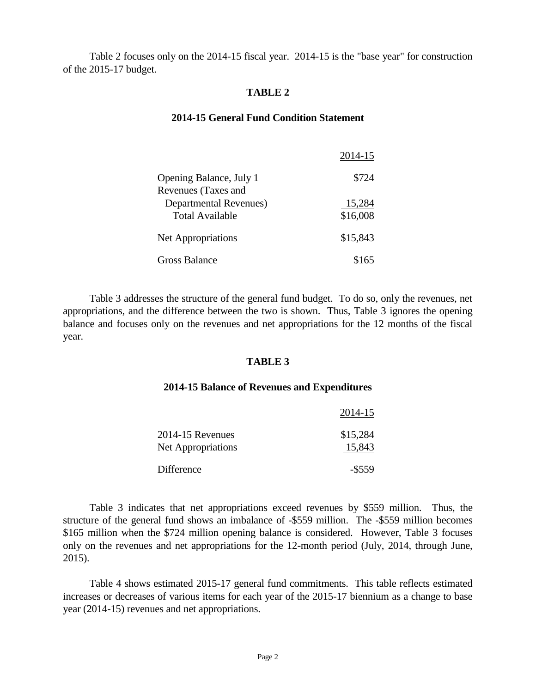Table 2 focuses only on the 2014-15 fiscal year. 2014-15 is the "base year" for construction of the 2015-17 budget.

### **TABLE 2**

### **2014-15 General Fund Condition Statement**

|                                                       | 2014-15            |
|-------------------------------------------------------|--------------------|
| Opening Balance, July 1<br><b>Revenues (Taxes and</b> | \$724              |
| Departmental Revenues)<br><b>Total Available</b>      | 15,284<br>\$16,008 |
| <b>Net Appropriations</b>                             | \$15,843           |
| Gross Balance                                         | \$165              |

Table 3 addresses the structure of the general fund budget. To do so, only the revenues, net appropriations, and the difference between the two is shown. Thus, Table 3 ignores the opening balance and focuses only on the revenues and net appropriations for the 12 months of the fiscal year.

### **TABLE 3**

#### **2014-15 Balance of Revenues and Expenditures**

|                                        | 2014-15            |
|----------------------------------------|--------------------|
| 2014-15 Revenues<br>Net Appropriations | \$15,284<br>15,843 |
| Difference                             | $-$ \$559          |

Table 3 indicates that net appropriations exceed revenues by \$559 million. Thus, the structure of the general fund shows an imbalance of -\$559 million. The -\$559 million becomes \$165 million when the \$724 million opening balance is considered. However, Table 3 focuses only on the revenues and net appropriations for the 12-month period (July, 2014, through June, 2015).

Table 4 shows estimated 2015-17 general fund commitments. This table reflects estimated increases or decreases of various items for each year of the 2015-17 biennium as a change to base year (2014-15) revenues and net appropriations.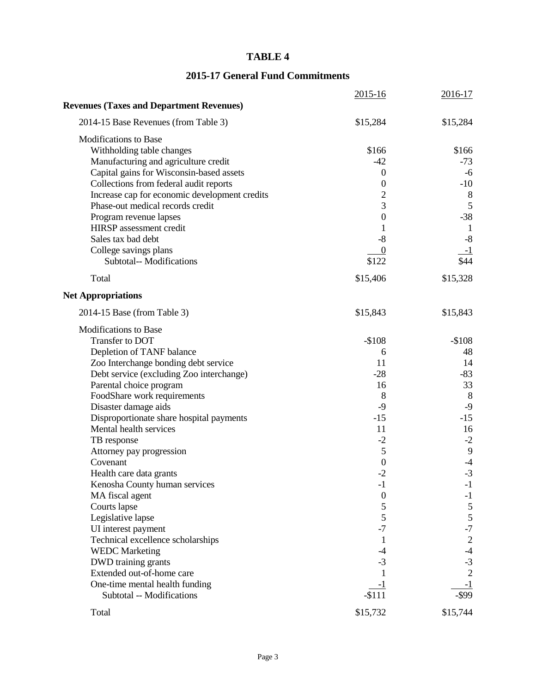# **TABLE 4**

# **2015-17 General Fund Commitments**

| 2014-15 Base Revenues (from Table 3)<br>\$15,284<br>\$15,284<br><b>Modifications to Base</b><br>Withholding table changes<br>\$166<br>\$166<br>Manufacturing and agriculture credit<br>$-42$<br>$-73$<br>Capital gains for Wisconsin-based assets<br>$\boldsymbol{0}$<br>-6<br>Collections from federal audit reports<br>$\mathbf{0}$<br>$-10$<br>$\overline{c}$<br>Increase cap for economic development credits<br>8<br>3<br>5<br>Phase-out medical records credit<br>$-38$<br>$\boldsymbol{0}$<br>Program revenue lapses<br>HIRSP assessment credit<br>1<br>$\mathbf{1}$<br>$-8$<br>Sales tax bad debt<br>$-8$<br>College savings plans<br>$\boldsymbol{0}$<br><u>-1</u><br>\$44<br>Subtotal-- Modifications<br>\$122<br>\$15,328<br>Total<br>\$15,406<br>2014-15 Base (from Table 3)<br>\$15,843<br>\$15,843<br><b>Modifications to Base</b><br>$-$108$<br>$-$108$<br>Transfer to DOT<br>Depletion of TANF balance<br>48<br>6<br>14<br>Zoo Interchange bonding debt service<br>11<br>$-83$<br>Debt service (excluding Zoo interchange)<br>$-28$<br>33<br>Parental choice program<br>16<br>8<br>FoodShare work requirements<br>8<br>$-9$<br>$-9$<br>Disaster damage aids<br>Disproportionate share hospital payments<br>$-15$<br>$-15$<br>Mental health services<br>11<br>16<br>$-2$<br>$-2$<br>TB response<br>5<br>9<br>Attorney pay progression<br>$\boldsymbol{0}$<br>Covenant<br>$-4$<br>$-2$<br>$-3$<br>Health care data grants<br>Kenosha County human services<br>$-1$<br>$-1$<br>$\boldsymbol{0}$<br>MA fiscal agent<br>$-1$<br>5<br>Courts lapse<br>$\mathfrak{S}$<br>5<br>5<br>Legislative lapse<br>$-7$<br>$-7$<br>UI interest payment<br>Technical excellence scholarships<br>$\overline{2}$<br>1<br><b>WEDC</b> Marketing<br>$-4$<br>$-4$<br>$-3$<br>DWD training grants<br>$-3$<br>$\overline{2}$<br>Extended out-of-home care<br>One-time mental health funding<br>$-1$<br>$-1$<br>$-$ \$99<br>Subtotal -- Modifications<br>$-$111$<br>\$15,732<br>\$15,744<br>Total |                                                 | 2015-16 | 2016-17 |
|----------------------------------------------------------------------------------------------------------------------------------------------------------------------------------------------------------------------------------------------------------------------------------------------------------------------------------------------------------------------------------------------------------------------------------------------------------------------------------------------------------------------------------------------------------------------------------------------------------------------------------------------------------------------------------------------------------------------------------------------------------------------------------------------------------------------------------------------------------------------------------------------------------------------------------------------------------------------------------------------------------------------------------------------------------------------------------------------------------------------------------------------------------------------------------------------------------------------------------------------------------------------------------------------------------------------------------------------------------------------------------------------------------------------------------------------------------------------------------------------------------------------------------------------------------------------------------------------------------------------------------------------------------------------------------------------------------------------------------------------------------------------------------------------------------------------------------------------------------------------------------------------------------------------------------------------------------------------------------------|-------------------------------------------------|---------|---------|
|                                                                                                                                                                                                                                                                                                                                                                                                                                                                                                                                                                                                                                                                                                                                                                                                                                                                                                                                                                                                                                                                                                                                                                                                                                                                                                                                                                                                                                                                                                                                                                                                                                                                                                                                                                                                                                                                                                                                                                                        | <b>Revenues (Taxes and Department Revenues)</b> |         |         |
|                                                                                                                                                                                                                                                                                                                                                                                                                                                                                                                                                                                                                                                                                                                                                                                                                                                                                                                                                                                                                                                                                                                                                                                                                                                                                                                                                                                                                                                                                                                                                                                                                                                                                                                                                                                                                                                                                                                                                                                        |                                                 |         |         |
|                                                                                                                                                                                                                                                                                                                                                                                                                                                                                                                                                                                                                                                                                                                                                                                                                                                                                                                                                                                                                                                                                                                                                                                                                                                                                                                                                                                                                                                                                                                                                                                                                                                                                                                                                                                                                                                                                                                                                                                        |                                                 |         |         |
|                                                                                                                                                                                                                                                                                                                                                                                                                                                                                                                                                                                                                                                                                                                                                                                                                                                                                                                                                                                                                                                                                                                                                                                                                                                                                                                                                                                                                                                                                                                                                                                                                                                                                                                                                                                                                                                                                                                                                                                        |                                                 |         |         |
|                                                                                                                                                                                                                                                                                                                                                                                                                                                                                                                                                                                                                                                                                                                                                                                                                                                                                                                                                                                                                                                                                                                                                                                                                                                                                                                                                                                                                                                                                                                                                                                                                                                                                                                                                                                                                                                                                                                                                                                        |                                                 |         |         |
|                                                                                                                                                                                                                                                                                                                                                                                                                                                                                                                                                                                                                                                                                                                                                                                                                                                                                                                                                                                                                                                                                                                                                                                                                                                                                                                                                                                                                                                                                                                                                                                                                                                                                                                                                                                                                                                                                                                                                                                        |                                                 |         |         |
|                                                                                                                                                                                                                                                                                                                                                                                                                                                                                                                                                                                                                                                                                                                                                                                                                                                                                                                                                                                                                                                                                                                                                                                                                                                                                                                                                                                                                                                                                                                                                                                                                                                                                                                                                                                                                                                                                                                                                                                        |                                                 |         |         |
|                                                                                                                                                                                                                                                                                                                                                                                                                                                                                                                                                                                                                                                                                                                                                                                                                                                                                                                                                                                                                                                                                                                                                                                                                                                                                                                                                                                                                                                                                                                                                                                                                                                                                                                                                                                                                                                                                                                                                                                        |                                                 |         |         |
|                                                                                                                                                                                                                                                                                                                                                                                                                                                                                                                                                                                                                                                                                                                                                                                                                                                                                                                                                                                                                                                                                                                                                                                                                                                                                                                                                                                                                                                                                                                                                                                                                                                                                                                                                                                                                                                                                                                                                                                        |                                                 |         |         |
|                                                                                                                                                                                                                                                                                                                                                                                                                                                                                                                                                                                                                                                                                                                                                                                                                                                                                                                                                                                                                                                                                                                                                                                                                                                                                                                                                                                                                                                                                                                                                                                                                                                                                                                                                                                                                                                                                                                                                                                        |                                                 |         |         |
|                                                                                                                                                                                                                                                                                                                                                                                                                                                                                                                                                                                                                                                                                                                                                                                                                                                                                                                                                                                                                                                                                                                                                                                                                                                                                                                                                                                                                                                                                                                                                                                                                                                                                                                                                                                                                                                                                                                                                                                        |                                                 |         |         |
|                                                                                                                                                                                                                                                                                                                                                                                                                                                                                                                                                                                                                                                                                                                                                                                                                                                                                                                                                                                                                                                                                                                                                                                                                                                                                                                                                                                                                                                                                                                                                                                                                                                                                                                                                                                                                                                                                                                                                                                        |                                                 |         |         |
|                                                                                                                                                                                                                                                                                                                                                                                                                                                                                                                                                                                                                                                                                                                                                                                                                                                                                                                                                                                                                                                                                                                                                                                                                                                                                                                                                                                                                                                                                                                                                                                                                                                                                                                                                                                                                                                                                                                                                                                        |                                                 |         |         |
|                                                                                                                                                                                                                                                                                                                                                                                                                                                                                                                                                                                                                                                                                                                                                                                                                                                                                                                                                                                                                                                                                                                                                                                                                                                                                                                                                                                                                                                                                                                                                                                                                                                                                                                                                                                                                                                                                                                                                                                        |                                                 |         |         |
|                                                                                                                                                                                                                                                                                                                                                                                                                                                                                                                                                                                                                                                                                                                                                                                                                                                                                                                                                                                                                                                                                                                                                                                                                                                                                                                                                                                                                                                                                                                                                                                                                                                                                                                                                                                                                                                                                                                                                                                        |                                                 |         |         |
|                                                                                                                                                                                                                                                                                                                                                                                                                                                                                                                                                                                                                                                                                                                                                                                                                                                                                                                                                                                                                                                                                                                                                                                                                                                                                                                                                                                                                                                                                                                                                                                                                                                                                                                                                                                                                                                                                                                                                                                        | <b>Net Appropriations</b>                       |         |         |
|                                                                                                                                                                                                                                                                                                                                                                                                                                                                                                                                                                                                                                                                                                                                                                                                                                                                                                                                                                                                                                                                                                                                                                                                                                                                                                                                                                                                                                                                                                                                                                                                                                                                                                                                                                                                                                                                                                                                                                                        |                                                 |         |         |
|                                                                                                                                                                                                                                                                                                                                                                                                                                                                                                                                                                                                                                                                                                                                                                                                                                                                                                                                                                                                                                                                                                                                                                                                                                                                                                                                                                                                                                                                                                                                                                                                                                                                                                                                                                                                                                                                                                                                                                                        |                                                 |         |         |
|                                                                                                                                                                                                                                                                                                                                                                                                                                                                                                                                                                                                                                                                                                                                                                                                                                                                                                                                                                                                                                                                                                                                                                                                                                                                                                                                                                                                                                                                                                                                                                                                                                                                                                                                                                                                                                                                                                                                                                                        |                                                 |         |         |
|                                                                                                                                                                                                                                                                                                                                                                                                                                                                                                                                                                                                                                                                                                                                                                                                                                                                                                                                                                                                                                                                                                                                                                                                                                                                                                                                                                                                                                                                                                                                                                                                                                                                                                                                                                                                                                                                                                                                                                                        |                                                 |         |         |
|                                                                                                                                                                                                                                                                                                                                                                                                                                                                                                                                                                                                                                                                                                                                                                                                                                                                                                                                                                                                                                                                                                                                                                                                                                                                                                                                                                                                                                                                                                                                                                                                                                                                                                                                                                                                                                                                                                                                                                                        |                                                 |         |         |
|                                                                                                                                                                                                                                                                                                                                                                                                                                                                                                                                                                                                                                                                                                                                                                                                                                                                                                                                                                                                                                                                                                                                                                                                                                                                                                                                                                                                                                                                                                                                                                                                                                                                                                                                                                                                                                                                                                                                                                                        |                                                 |         |         |
|                                                                                                                                                                                                                                                                                                                                                                                                                                                                                                                                                                                                                                                                                                                                                                                                                                                                                                                                                                                                                                                                                                                                                                                                                                                                                                                                                                                                                                                                                                                                                                                                                                                                                                                                                                                                                                                                                                                                                                                        |                                                 |         |         |
|                                                                                                                                                                                                                                                                                                                                                                                                                                                                                                                                                                                                                                                                                                                                                                                                                                                                                                                                                                                                                                                                                                                                                                                                                                                                                                                                                                                                                                                                                                                                                                                                                                                                                                                                                                                                                                                                                                                                                                                        |                                                 |         |         |
|                                                                                                                                                                                                                                                                                                                                                                                                                                                                                                                                                                                                                                                                                                                                                                                                                                                                                                                                                                                                                                                                                                                                                                                                                                                                                                                                                                                                                                                                                                                                                                                                                                                                                                                                                                                                                                                                                                                                                                                        |                                                 |         |         |
|                                                                                                                                                                                                                                                                                                                                                                                                                                                                                                                                                                                                                                                                                                                                                                                                                                                                                                                                                                                                                                                                                                                                                                                                                                                                                                                                                                                                                                                                                                                                                                                                                                                                                                                                                                                                                                                                                                                                                                                        |                                                 |         |         |
|                                                                                                                                                                                                                                                                                                                                                                                                                                                                                                                                                                                                                                                                                                                                                                                                                                                                                                                                                                                                                                                                                                                                                                                                                                                                                                                                                                                                                                                                                                                                                                                                                                                                                                                                                                                                                                                                                                                                                                                        |                                                 |         |         |
|                                                                                                                                                                                                                                                                                                                                                                                                                                                                                                                                                                                                                                                                                                                                                                                                                                                                                                                                                                                                                                                                                                                                                                                                                                                                                                                                                                                                                                                                                                                                                                                                                                                                                                                                                                                                                                                                                                                                                                                        |                                                 |         |         |
|                                                                                                                                                                                                                                                                                                                                                                                                                                                                                                                                                                                                                                                                                                                                                                                                                                                                                                                                                                                                                                                                                                                                                                                                                                                                                                                                                                                                                                                                                                                                                                                                                                                                                                                                                                                                                                                                                                                                                                                        |                                                 |         |         |
|                                                                                                                                                                                                                                                                                                                                                                                                                                                                                                                                                                                                                                                                                                                                                                                                                                                                                                                                                                                                                                                                                                                                                                                                                                                                                                                                                                                                                                                                                                                                                                                                                                                                                                                                                                                                                                                                                                                                                                                        |                                                 |         |         |
|                                                                                                                                                                                                                                                                                                                                                                                                                                                                                                                                                                                                                                                                                                                                                                                                                                                                                                                                                                                                                                                                                                                                                                                                                                                                                                                                                                                                                                                                                                                                                                                                                                                                                                                                                                                                                                                                                                                                                                                        |                                                 |         |         |
|                                                                                                                                                                                                                                                                                                                                                                                                                                                                                                                                                                                                                                                                                                                                                                                                                                                                                                                                                                                                                                                                                                                                                                                                                                                                                                                                                                                                                                                                                                                                                                                                                                                                                                                                                                                                                                                                                                                                                                                        |                                                 |         |         |
|                                                                                                                                                                                                                                                                                                                                                                                                                                                                                                                                                                                                                                                                                                                                                                                                                                                                                                                                                                                                                                                                                                                                                                                                                                                                                                                                                                                                                                                                                                                                                                                                                                                                                                                                                                                                                                                                                                                                                                                        |                                                 |         |         |
|                                                                                                                                                                                                                                                                                                                                                                                                                                                                                                                                                                                                                                                                                                                                                                                                                                                                                                                                                                                                                                                                                                                                                                                                                                                                                                                                                                                                                                                                                                                                                                                                                                                                                                                                                                                                                                                                                                                                                                                        |                                                 |         |         |
|                                                                                                                                                                                                                                                                                                                                                                                                                                                                                                                                                                                                                                                                                                                                                                                                                                                                                                                                                                                                                                                                                                                                                                                                                                                                                                                                                                                                                                                                                                                                                                                                                                                                                                                                                                                                                                                                                                                                                                                        |                                                 |         |         |
|                                                                                                                                                                                                                                                                                                                                                                                                                                                                                                                                                                                                                                                                                                                                                                                                                                                                                                                                                                                                                                                                                                                                                                                                                                                                                                                                                                                                                                                                                                                                                                                                                                                                                                                                                                                                                                                                                                                                                                                        |                                                 |         |         |
|                                                                                                                                                                                                                                                                                                                                                                                                                                                                                                                                                                                                                                                                                                                                                                                                                                                                                                                                                                                                                                                                                                                                                                                                                                                                                                                                                                                                                                                                                                                                                                                                                                                                                                                                                                                                                                                                                                                                                                                        |                                                 |         |         |
|                                                                                                                                                                                                                                                                                                                                                                                                                                                                                                                                                                                                                                                                                                                                                                                                                                                                                                                                                                                                                                                                                                                                                                                                                                                                                                                                                                                                                                                                                                                                                                                                                                                                                                                                                                                                                                                                                                                                                                                        |                                                 |         |         |
|                                                                                                                                                                                                                                                                                                                                                                                                                                                                                                                                                                                                                                                                                                                                                                                                                                                                                                                                                                                                                                                                                                                                                                                                                                                                                                                                                                                                                                                                                                                                                                                                                                                                                                                                                                                                                                                                                                                                                                                        |                                                 |         |         |
|                                                                                                                                                                                                                                                                                                                                                                                                                                                                                                                                                                                                                                                                                                                                                                                                                                                                                                                                                                                                                                                                                                                                                                                                                                                                                                                                                                                                                                                                                                                                                                                                                                                                                                                                                                                                                                                                                                                                                                                        |                                                 |         |         |
|                                                                                                                                                                                                                                                                                                                                                                                                                                                                                                                                                                                                                                                                                                                                                                                                                                                                                                                                                                                                                                                                                                                                                                                                                                                                                                                                                                                                                                                                                                                                                                                                                                                                                                                                                                                                                                                                                                                                                                                        |                                                 |         |         |
|                                                                                                                                                                                                                                                                                                                                                                                                                                                                                                                                                                                                                                                                                                                                                                                                                                                                                                                                                                                                                                                                                                                                                                                                                                                                                                                                                                                                                                                                                                                                                                                                                                                                                                                                                                                                                                                                                                                                                                                        |                                                 |         |         |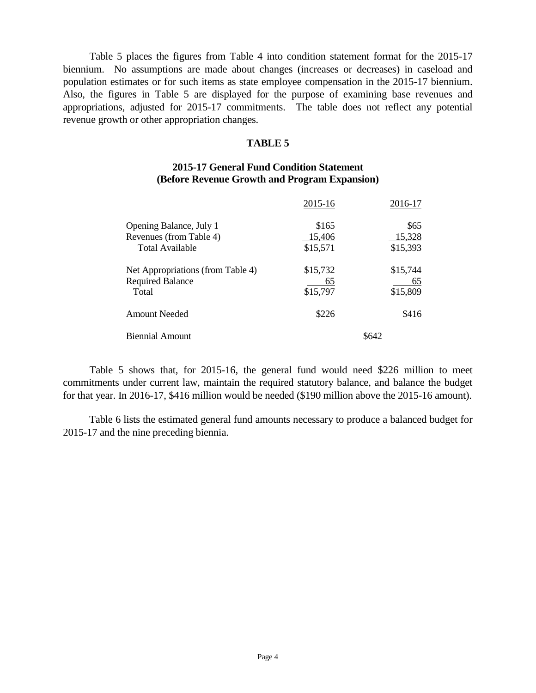Table 5 places the figures from Table 4 into condition statement format for the 2015-17 biennium. No assumptions are made about changes (increases or decreases) in caseload and population estimates or for such items as state employee compensation in the 2015-17 biennium. Also, the figures in Table 5 are displayed for the purpose of examining base revenues and appropriations, adjusted for 2015-17 commitments. The table does not reflect any potential revenue growth or other appropriation changes.

#### **TABLE 5**

### **2015-17 General Fund Condition Statement (Before Revenue Growth and Program Expansion)**

|                                   | 2015-16  | 2016-17  |  |
|-----------------------------------|----------|----------|--|
| Opening Balance, July 1           | \$165    | \$65     |  |
| Revenues (from Table 4)           | 15,406   | 15,328   |  |
| Total Available                   | \$15,571 | \$15,393 |  |
| Net Appropriations (from Table 4) | \$15,732 | \$15,744 |  |
| <b>Required Balance</b>           | 65       | 65       |  |
| Total                             | \$15,797 | \$15,809 |  |
| <b>Amount Needed</b>              | \$226    | \$416    |  |
| <b>Biennial Amount</b>            | \$642    |          |  |

Table 5 shows that, for 2015-16, the general fund would need \$226 million to meet commitments under current law, maintain the required statutory balance, and balance the budget for that year. In 2016-17, \$416 million would be needed (\$190 million above the 2015-16 amount).

Table 6 lists the estimated general fund amounts necessary to produce a balanced budget for 2015-17 and the nine preceding biennia.